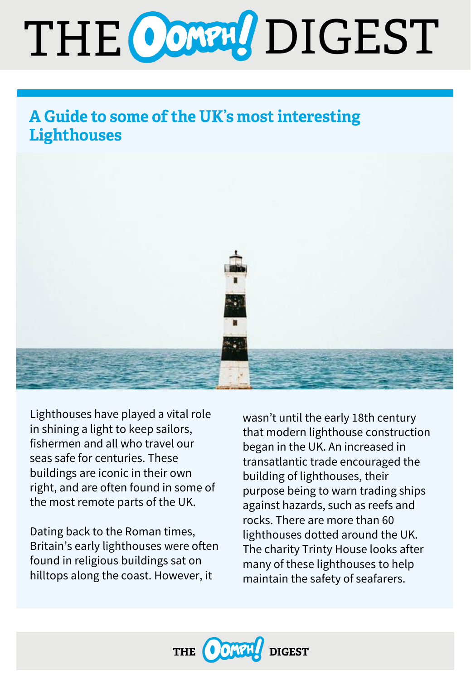# THE CONNY DIGEST

# A Guide to some of the UK's most interesting **Lighthouses**



Lighthouses have played a vital role in shining a light to keep sailors, fishermen and all who travel our seas safe for centuries. These buildings are iconic in their own right, and are often found in some of the most remote parts of the UK.

Dating back to the Roman times, Britain's early lighthouses were often found in religious buildings sat on hilltops along the coast. However, it

wasn't until the early 18th century that modern lighthouse construction began in the UK. An increased in transatlantic trade encouraged the building of lighthouses, their purpose being to warn trading ships against hazards, such as reefs and rocks. There are more than 60 lighthouses dotted around the UK. The charity Trinty House looks after many of these lighthouses to help maintain the safety of seafarers.

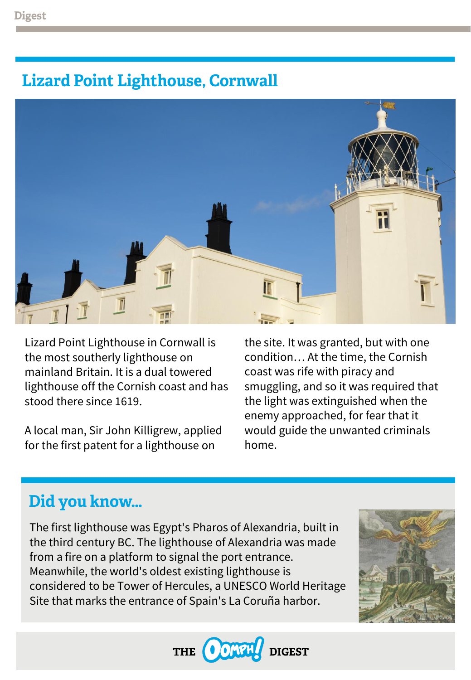#### **Lizard Point Lighthouse, Cornwall**



Lizard Point Lighthouse in Cornwall is the most southerly lighthouse on mainland Britain. It is a dual towered lighthouse off the Cornish coast and has stood there since 1619.

A local man, Sir John Killigrew, applied for the first patent for a lighthouse on

the site. It was granted, but with one condition… At the time, the Cornish coast was rife with piracy and smuggling, and so it was required that the light was extinguished when the enemy approached, for fear that it would guide the unwanted criminals home.

## Did you know...

The first lighthouse was Egypt's Pharos of Alexandria, built in the third century BC. The lighthouse of Alexandria was made from a fire on a platform to signal the port entrance. Meanwhile, the world's oldest existing lighthouse is considered to be Tower of Hercules, a UNESCO World Heritage Site that marks the entrance of Spain's La Coruña harbor.



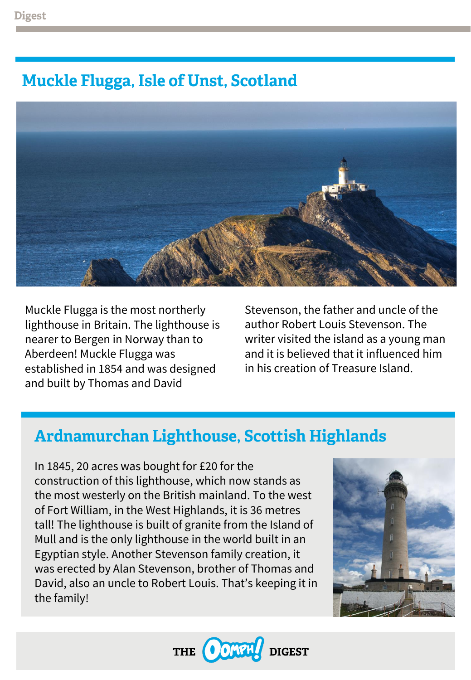## **Muckle Flugga, Isle of Unst, Scotland**



Muckle Flugga is the most northerly lighthouse in Britain. The lighthouse is nearer to Bergen in Norway than to Aberdeen! Muckle Flugga was established in 1854 and was designed and built by Thomas and David

Stevenson, the father and uncle of the author Robert Louis Stevenson. The writer visited the island as a young man and it is believed that it influenced him in his creation of Treasure Island.

## Ardnamurchan Lighthouse, Scottish Highlands

In 1845, 20 acres was bought for £20 for the construction of this lighthouse, which now stands as the most westerly on the British mainland. To the west of Fort William, in the West Highlands, it is 36 metres tall! The lighthouse is built of granite from the Island of Mull and is the only lighthouse in the world built in an Egyptian style. Another Stevenson family creation, it was erected by Alan Stevenson, brother of Thomas and David, also an uncle to Robert Louis. That's keeping it in the family!



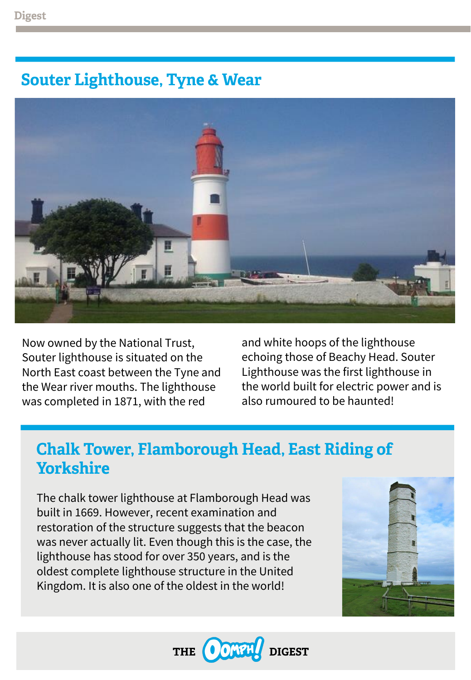#### **Souter Lighthouse, Tyne & Wear**



Now owned by the National Trust, Souter lighthouse is situated on the North East coast between the Tyne and the Wear river mouths. The lighthouse was completed in 1871, with the red

and white hoops of the lighthouse echoing those of Beachy Head. Souter Lighthouse was the first lighthouse in the world built for electric power and is also rumoured to be haunted!

#### **Chalk Tower, Flamborough Head, East Riding of Yorkshire**

The chalk tower lighthouse at Flamborough Head was built in 1669. However, recent examination and restoration of the structure suggests that the beacon was never actually lit. Even though this is the case, the lighthouse has stood for over 350 years, and is the oldest complete lighthouse structure in the United Kingdom. It is also one of the oldest in the world!



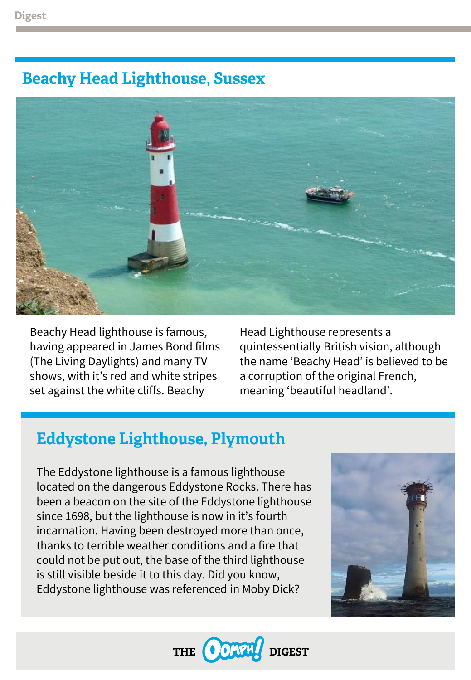#### **Beachy Head Lighthouse, Sussex**



Beachy Head lighthouse is famous, having appeared in James Bond films (The Living Daylights) and many TV shows, with it's red and white stripes set against the white cliffs. Beachy

Head Lighthouse represents a quintessentially British vision, although the name 'Beachy Head' is believed to be a corruption of the original French, meaning 'beautiful headland'.

#### **Eddystone Lighthouse, Plymouth**

The Eddystone lighthouse is a famous lighthouse located on the dangerous Eddystone Rocks. There has been a beacon on the site of the Eddystone lighthouse since 1698, but the lighthouse is now in it's fourth incarnation. Having been destroyed more than once, thanks to terrible weather conditions and a fire that could not be put out, the base of the third lighthouse is still visible beside it to this day. Did you know, Eddystone lighthouse was referenced in Moby Dick?



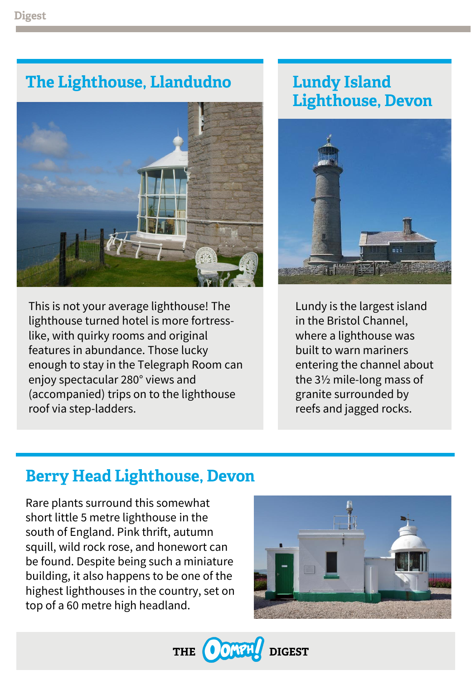# The Lighthouse, Llandudno



This is not your average lighthouse! The lighthouse turned hotel is more fortresslike, with quirky rooms and original features in abundance. Those lucky enough to stay in the Telegraph Room can enjoy spectacular 280° views and (accompanied) trips on to the lighthouse roof via step-ladders.

# **Lundy Island Lighthouse, Devon**



Lundy is the largest island in the Bristol Channel, where a lighthouse was built to warn mariners entering the channel about the 3½ mile-long mass of granite surrounded by reefs and jagged rocks.

## **Berry Head Lighthouse, Devon**

Rare plants surround this somewhat short little 5 metre lighthouse in the south of England. Pink thrift, autumn squill, wild rock rose, and honewort can be found. Despite being such a miniature building, it also happens to be one of the highest lighthouses in the country, set on top of a 60 metre high headland.